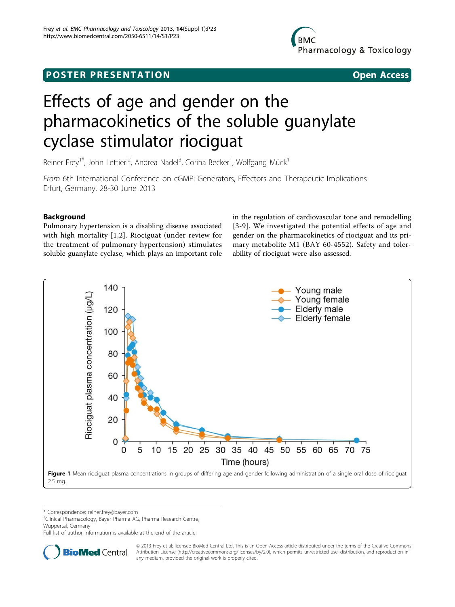# <span id="page-0-0"></span>**POSTER PRESENTATION CONSUMING THE SERVICE SERVICE SERVICES**



# Effects of age and gender on the pharmacokinetics of the soluble guanylate cyclase stimulator riociguat

Reiner Frey<sup>1\*</sup>, John Lettieri<sup>2</sup>, Andrea Nadel<sup>3</sup>, Corina Becker<sup>1</sup>, Wolfgang Mück<sup>1</sup>

From 6th International Conference on cGMP: Generators, Effectors and Therapeutic Implications Erfurt, Germany. 28-30 June 2013

# Background

Pulmonary hypertension is a disabling disease associated with high mortality [[1](#page-2-0),[2\]](#page-2-0). Riociguat (under review for the treatment of pulmonary hypertension) stimulates soluble guanylate cyclase, which plays an important role in the regulation of cardiovascular tone and remodelling [[3](#page-2-0)-[9](#page-2-0)]. We investigated the potential effects of age and gender on the pharmacokinetics of riociguat and its primary metabolite M1 (BAY 60-4552). Safety and tolerability of riociguat were also assessed.



\* Correspondence: [reiner.frey@bayer.com](mailto:reiner.frey@bayer.com)

<sup>1</sup>Clinical Pharmacology, Bayer Pharma AG, Pharma Research Centre, Wuppertal, Germany

Full list of author information is available at the end of the article



© 2013 Frey et al; licensee BioMed Central Ltd. This is an Open Access article distributed under the terms of the Creative Commons Attribution License [\(http://creativecommons.org/licenses/by/2.0](http://creativecommons.org/licenses/by/2.0)), which permits unrestricted use, distribution, and reproduction in any medium, provided the original work is properly cited.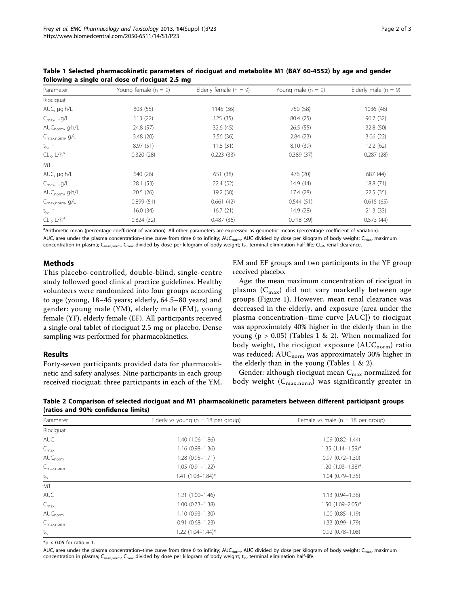| Parameter                    | Young female $(n = 9)$ | Elderly female ( $n = 9$ ) | Young male $(n = 9)$ | Elderly male $(n = 9)$ |
|------------------------------|------------------------|----------------------------|----------------------|------------------------|
| Riociguat                    |                        |                            |                      |                        |
| AUC, µg.h/L                  | 803 (55)               | 1145 (36)                  | 750 (58)             | 1036 (48)              |
| $C_{\text{max}}$ , $\mu g/L$ | 113(22)                | 125 (35)                   | 80.4 (25)            | 96.7 (32)              |
| AUC <sub>norm</sub> , g.h/L  | 24.8 (57)              | 32.6 (45)                  | 26.5(55)             | 32.8 (50)              |
| C <sub>max,norm</sub> , g/L  | 3.48 (20)              | 3.56(36)                   | 2.84(23)             | 3.06(22)               |
| t <sub>½</sub> , h           | 8.97(51)               | 11.8(31)                   | 8.10 (39)            | 12.2(62)               |
| $CL_{R}$ , $L/h^a$           | 0.320(28)              | 0.223(33)                  | 0.389(37)            | 0.287(28)              |
| M1                           |                        |                            |                      |                        |
| AUC, µg.h/L                  | 640 (26)               | 651 (38)                   | 476 (20)             | 687 (44)               |
| $C_{\text{max}}$ , $\mu g/L$ | 28.1 (53)              | 22.4 (52)                  | 14.9 (44)            | 18.8 (71)              |
| AUC <sub>norm</sub> , g.h/L  | 20.5(26)               | 19.2 (30)                  | 17.4 (28)            | 22.5(35)               |
| C <sub>max,norm</sub> , g/L  | 0.899(51)              | 0.661(42)                  | 0.544(51)            | 0.615(65)              |
| t <sub>½</sub> , h           | 16.0(34)               | 16.7(21)                   | 14.9 (28)            | 21.3(33)               |
| $CL_{R}$ , $L/h^{a}$         | 0.824(32)              | 0.487(36)                  | 0.718(39)            | 0.573(44)              |

<span id="page-1-0"></span>Table 1 Selected pharmacokinetic parameters of riociguat and metabolite M1 (BAY 60-4552) by age and gender following a single oral dose of riociguat 2.5 mg

<sup>a</sup>Arithmetic mean (percentage coefficient of variation). All other parameters are expressed as geometric means (percentage coefficient of variation). AUC, area under the plasma concentration–time curve from time 0 to infinity; AUC<sub>norm</sub>, AUC divided by dose per kilogram of body weight; C<sub>max</sub>, maximum concentration in plasma; C<sub>max,norm</sub>, C<sub>max</sub> divided by dose per kilogram of body weight; t<sub>/2</sub>, terminal elimination half-life; CL<sub>R</sub>, renal clearance.

# Methods

This placebo-controlled, double-blind, single-centre study followed good clinical practice guidelines. Healthy volunteers were randomized into four groups according to age (young, 18–45 years; elderly, 64.5–80 years) and gender: young male (YM), elderly male (EM), young female (YF), elderly female (EF). All participants received a single oral tablet of riociguat 2.5 mg or placebo. Dense sampling was performed for pharmacokinetics.

# Results

Forty-seven participants provided data for pharmacokinetic and safety analyses. Nine participants in each group received riociguat; three participants in each of the YM, EM and EF groups and two participants in the YF group received placebo.

Age: the mean maximum concentration of riociguat in plasma  $(C_{\text{max}})$  did not vary markedly between age groups (Figure [1\)](#page-0-0). However, mean renal clearance was decreased in the elderly, and exposure (area under the plasma concentration–time curve [AUC]) to riociguat was approximately 40% higher in the elderly than in the young ( $p > 0.05$ ) (Tables 1 & 2). When normalized for body weight, the riociguat exposure  $(AUC_{norm})$  ratio was reduced; AUC<sub>norm</sub> was approximately 30% higher in the elderly than in the young (Tables 1 & 2).

Gender: although riociguat mean  $C_{\text{max}}$  normalized for body weight  $(C_{max,norm})$  was significantly greater in

Table 2 Comparison of selected riociguat and M1 pharmacokinetic parameters between different participant groups (ratios and 90% confidence limits)

| Parameter             | Elderly vs young ( $n = 18$ per group) | Female vs male ( $n = 18$ per group) |  |
|-----------------------|----------------------------------------|--------------------------------------|--|
| Riociguat             |                                        |                                      |  |
| <b>AUC</b>            | $1.40(1.06 - 1.86)$                    | $1.09(0.82 - 1.44)$                  |  |
| $C_{\text{max}}$      | $1.16(0.98 - 1.36)$                    | $1.35(1.14 - 1.59)^{*}$              |  |
| $AUC_{norm}$          | $1.28(0.95 - 1.71)$                    | $0.97(0.72 - 1.30)$                  |  |
| $C_{\text{max,norm}}$ | $1.05(0.91 - 1.22)$                    | $1.20(1.03 - 1.38)^*$                |  |
| $t_{\frac{1}{2}}$     | $1.41 (1.08 - 1.84)^*$                 | $1.04(0.79 - 1.35)$                  |  |
| M1                    |                                        |                                      |  |
| <b>AUC</b>            | $1.21(1.00-1.46)$                      | $1.13(0.94 - 1.36)$                  |  |
| $C_{\text{max}}$      | $1.00(0.73 - 1.38)$                    | $1.50$ $(1.09 - 2.05)^*$             |  |
| $AUC_{norm}$          | $1.10(0.93 - 1.30)$                    | $1.00(0.85 - 1.19)$                  |  |
| $C_{\text{max,norm}}$ | $0.91(0.68 - 1.23)$                    | 1.33 (0.99-1.79)                     |  |
| $t_{1/2}$             | $1.22$ $(1.04-1.44)^{*}$               | $0.92(0.78 - 1.08)$                  |  |

 $*$ p < 0.05 for ratio = 1.

AUC, area under the plasma concentration-time curve from time 0 to infinity; AUC<sub>norm</sub>, AUC divided by dose per kilogram of body weight; C<sub>max</sub>, maximum concentration in plasma; C<sub>max,norm</sub>, C<sub>max</sub> divided by dose per kilogram of body weight; t<sub>1/2</sub>, terminal elimination half-life.